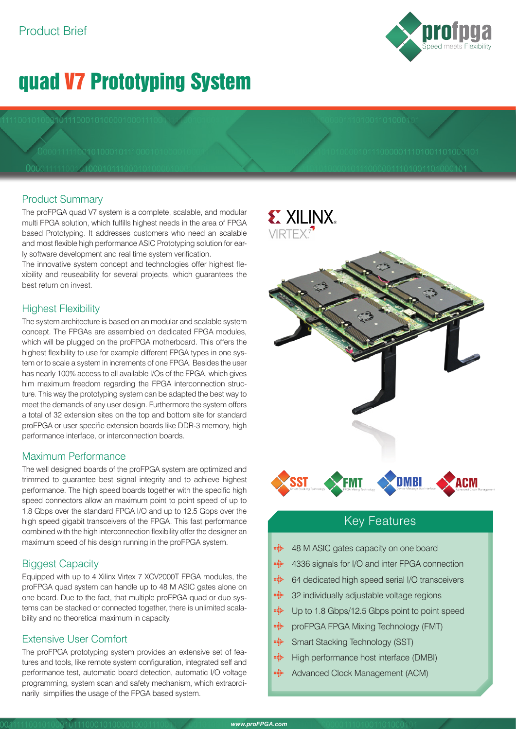# quad V7 Prototyping System

# Product Summary

The proFPGA quad V7 system is a complete, scalable, and modular multi FPGA solution, which fulfills highest needs in the area of FPGA based Prototyping. It addresses customers who need an scalable and most flexible high performance ASIC Prototyping solution for early software development and real time system verification.

The innovative system concept and technologies offer highest flexibility and reuseability for several projects, which guarantees the best return on invest.

# Highest Flexibility

The system architecture is based on an modular and scalable system concept. The FPGAs are assembled on dedicated FPGA modules, which will be plugged on the proFPGA motherboard. This offers the highest flexibility to use for example different FPGA types in one system or to scale a system in increments of one FPGA. Besides the user has nearly 100% access to all available I/Os of the FPGA, which gives him maximum freedom regarding the FPGA interconnection structure. This way the prototyping system can be adapted the best way to meet the demands of any user design. Furthermore the system offers a total of 32 extension sites on the top and bottom site for standard proFPGA or user specific extension boards like DDR-3 memory, high performance interface, or interconnection boards.

## Maximum Performance

The well designed boards of the proFPGA system are optimized and trimmed to guarantee best signal integrity and to achieve highest performance. The high speed boards together with the specific high speed connectors allow an maximum point to point speed of up to 1.8 Gbps over the standard FPGA I/O and up to 12.5 Gbps over the high speed gigabit transceivers of the FPGA. This fast performance combined with the high interconnection flexibility offer the designer an maximum speed of his design running in the proFPGA system.

# Biggest Capacity

Equipped with up to 4 Xilinx Virtex 7 XCV2000T FPGA modules, the proFPGA quad system can handle up to 48 M ASIC gates alone on one board. Due to the fact, that multiple proFPGA quad or duo systems can be stacked or connected together, there is unlimited scalability and no theoretical maximum in capacity.

# Extensive User Comfort

The proFPGA prototyping system provides an extensive set of features and tools, like remote system configuration, integrated self and performance test, automatic board detection, automatic I/O voltage programming, system scan and safety mechanism, which extraordinarily simplifies the usage of the FPGA based system.

# **EXILINX**  $VIRTFX<sup>7</sup>$ FMT **DMBI**

# Key Features

- mija 48 M ASIC gates capacity on one board
- mijo 4336 signals for I/O and inter FPGA connection
- $\frac{1}{2}$ 64 dedicated high speed serial I/O transceivers
- $m_{\rm B}^2$ 32 individually adjustable voltage regions
- mijo Up to 1.8 Gbps/12.5 Gbps point to point speed
- $\frac{1}{2}$ proFPGA FPGA Mixing Technology (FMT)
- min Smart Stacking Technology (SST)
- $\begin{aligned} \mathbf{m}_{\mathbf{S}}^{\mathbf{S}}\mathbf{b} \end{aligned}$ High performance host interface (DMBI)
- milis Advanced Clock Management (ACM)